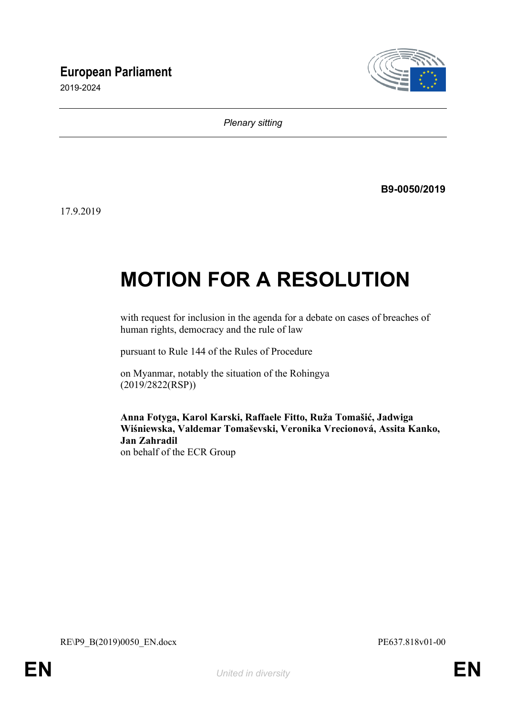# **European Parliament**

2019-2024



*Plenary sitting*

**B9-0050/2019**

17.9.2019

# **MOTION FOR A RESOLUTION**

with request for inclusion in the agenda for a debate on cases of breaches of human rights, democracy and the rule of law

pursuant to Rule 144 of the Rules of Procedure

on Myanmar, notably the situation of the Rohingya (2019/2822(RSP))

**Anna Fotyga, Karol Karski, Raffaele Fitto, Ruža Tomašić, Jadwiga Wiśniewska, Valdemar Tomaševski, Veronika Vrecionová, Assita Kanko, Jan Zahradil** on behalf of the ECR Group

<span id="page-0-1"></span><span id="page-0-0"></span>RE\P9\_B(2019)0050\_EN.docx PE637.818v01-00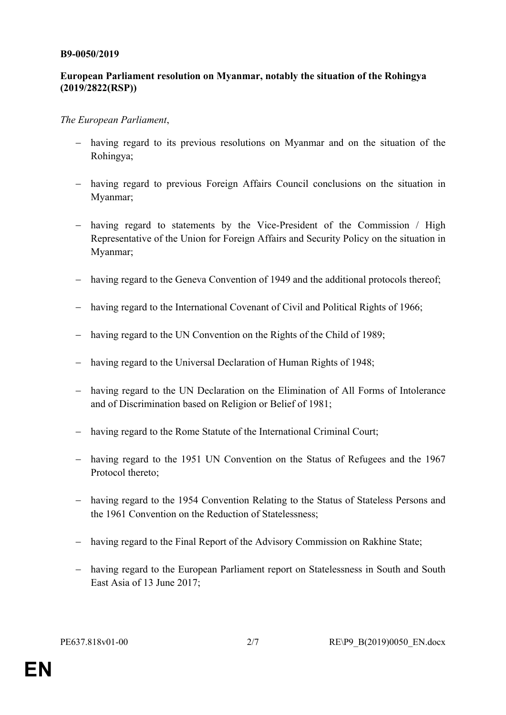#### **B9-0050/2019**

## **European Parliament resolution on Myanmar, notably the situation of the Rohingya (2019/2822(RSP))**

### *The European Parliament*,

- having regard to its previous resolutions on Myanmar and on the situation of the Rohingya;
- having regard to previous Foreign Affairs Council conclusions on the situation in Myanmar;
- having regard to statements by the Vice-President of the Commission / High Representative of the Union for Foreign Affairs and Security Policy on the situation in Myanmar;
- having regard to the Geneva Convention of 1949 and the additional protocols thereof;
- having regard to the International Covenant of Civil and Political Rights of 1966;
- having regard to the UN Convention on the Rights of the Child of 1989;
- having regard to the Universal Declaration of Human Rights of 1948;
- having regard to the UN Declaration on the Elimination of All Forms of Intolerance and of Discrimination based on Religion or Belief of 1981;
- having regard to the Rome Statute of the International Criminal Court;
- having regard to the 1951 UN Convention on the Status of Refugees and the 1967 Protocol thereto;
- having regard to the 1954 Convention Relating to the Status of Stateless Persons and the 1961 Convention on the Reduction of Statelessness;
- having regard to the Final Report of the Advisory Commission on Rakhine State;
- having regard to the European Parliament report on Statelessness in South and South East Asia of 13 June 2017;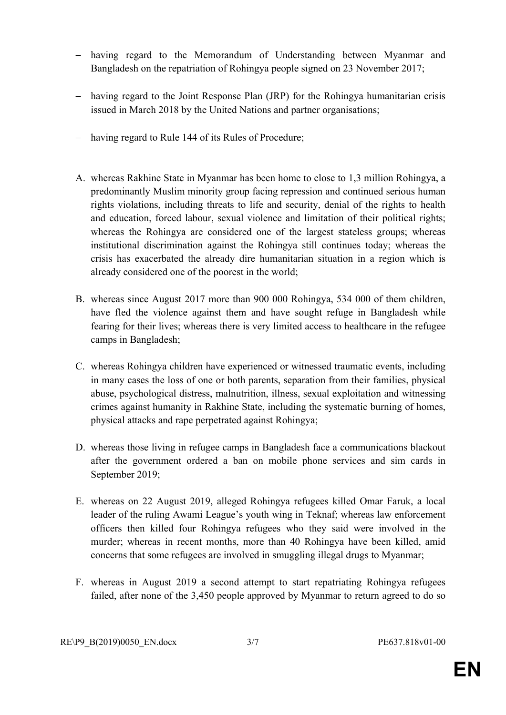- having regard to the Memorandum of Understanding between Myanmar and Bangladesh on the repatriation of Rohingya people signed on 23 November 2017;
- having regard to the Joint Response Plan (JRP) for the Rohingya humanitarian crisis issued in March 2018 by the United Nations and partner organisations;
- having regard to Rule 144 of its Rules of Procedure;
- A. whereas Rakhine State in Myanmar has been home to close to 1,3 million Rohingya, a predominantly Muslim minority group facing repression and continued serious human rights violations, including threats to life and security, denial of the rights to health and education, forced labour, sexual violence and limitation of their political rights; whereas the Rohingya are considered one of the largest stateless groups; whereas institutional discrimination against the Rohingya still continues today; whereas the crisis has exacerbated the already dire humanitarian situation in a region which is already considered one of the poorest in the world;
- B. whereas since August 2017 more than 900 000 Rohingya, 534 000 of them children, have fled the violence against them and have sought refuge in Bangladesh while fearing for their lives; whereas there is very limited access to healthcare in the refugee camps in Bangladesh;
- C. whereas Rohingya children have experienced or witnessed traumatic events, including in many cases the loss of one or both parents, separation from their families, physical abuse, psychological distress, malnutrition, illness, sexual exploitation and witnessing crimes against humanity in Rakhine State, including the systematic burning of homes, physical attacks and rape perpetrated against Rohingya;
- D. whereas those living in refugee camps in Bangladesh face a communications blackout after the government ordered a ban on mobile phone services and sim cards in September 2019;
- E. whereas on 22 August 2019, alleged Rohingya refugees killed Omar Faruk, a local leader of the ruling Awami League's youth wing in Teknaf; whereas law enforcement officers then killed four Rohingya refugees who they said were involved in the murder; whereas in recent months, more than 40 Rohingya have been killed, amid concerns that some refugees are involved in smuggling illegal drugs to Myanmar;
- F. whereas in August 2019 a second attempt to start repatriating Rohingya refugees failed, after none of the 3,450 people approved by Myanmar to return agreed to do so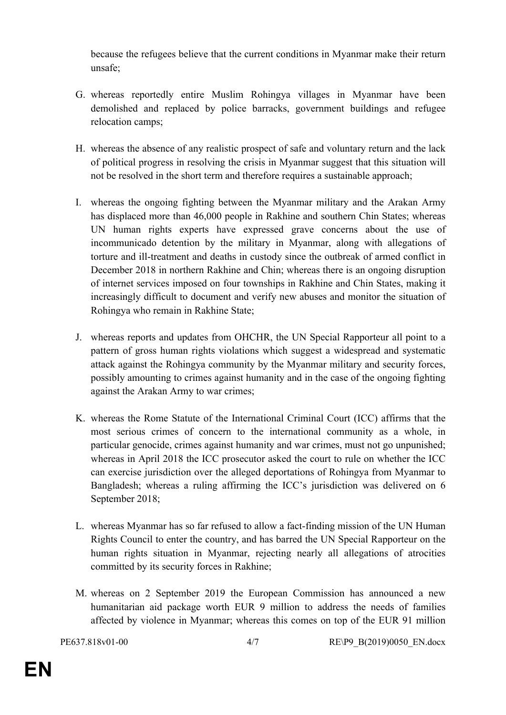because the refugees believe that the current conditions in Myanmar make their return unsafe;

- G. whereas reportedly entire Muslim Rohingya villages in Myanmar have been demolished and replaced by police barracks, government buildings and refugee relocation camps;
- H. whereas the absence of any realistic prospect of safe and voluntary return and the lack of political progress in resolving the crisis in Myanmar suggest that this situation will not be resolved in the short term and therefore requires a sustainable approach;
- I. whereas the ongoing fighting between the Myanmar military and the Arakan Army has displaced more than 46,000 people in Rakhine and southern Chin States; whereas UN human rights experts have expressed grave concerns about the use of incommunicado detention by the military in Myanmar, along with allegations of torture and ill-treatment and deaths in custody since the outbreak of armed conflict in December 2018 in northern Rakhine and Chin; whereas there is an ongoing disruption of internet services imposed on four townships in Rakhine and Chin States, making it increasingly difficult to document and verify new abuses and monitor the situation of Rohingya who remain in Rakhine State;
- J. whereas reports and updates from OHCHR, the UN Special Rapporteur all point to a pattern of gross human rights violations which suggest a widespread and systematic attack against the Rohingya community by the Myanmar military and security forces, possibly amounting to crimes against humanity and in the case of the ongoing fighting against the Arakan Army to war crimes;
- K. whereas the Rome Statute of the International Criminal Court (ICC) affirms that the most serious crimes of concern to the international community as a whole, in particular genocide, crimes against humanity and war crimes, must not go unpunished; whereas in April 2018 the ICC prosecutor asked the court to rule on whether the ICC can exercise jurisdiction over the alleged deportations of Rohingya from Myanmar to Bangladesh; whereas a ruling affirming the ICC's jurisdiction was delivered on 6 September 2018;
- L. whereas Myanmar has so far refused to allow a fact-finding mission of the UN Human Rights Council to enter the country, and has barred the UN Special Rapporteur on the human rights situation in Myanmar, rejecting nearly all allegations of atrocities committed by its security forces in Rakhine;
- M. whereas on 2 September 2019 the European Commission has announced a new humanitarian aid package worth EUR 9 million to address the needs of families affected by violence in Myanmar; whereas this comes on top of the EUR 91 million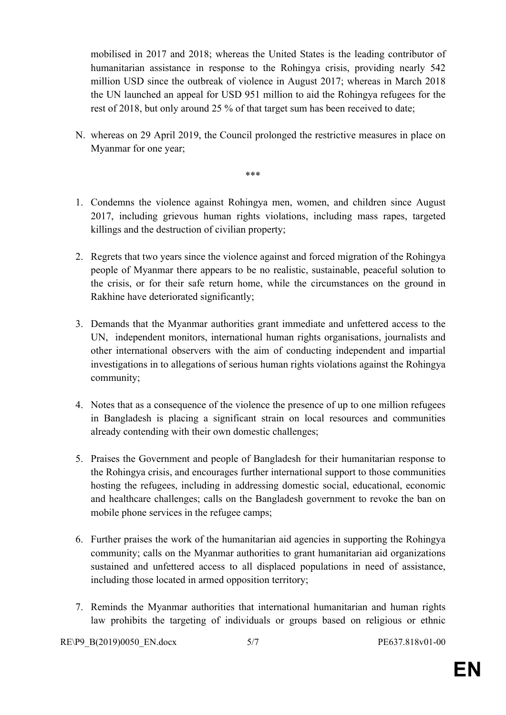mobilised in 2017 and 2018; whereas the United States is the leading contributor of humanitarian assistance in response to the Rohingya crisis, providing nearly 542 million USD since the outbreak of violence in August 2017; whereas in March 2018 the UN launched an appeal for USD 951 million to aid the Rohingya refugees for the rest of 2018, but only around 25 % of that target sum has been received to date;

N. whereas on 29 April 2019, the Council prolonged the restrictive measures in place on Myanmar for one year;

\*\*\*

- 1. Condemns the violence against Rohingya men, women, and children since August 2017, including grievous human rights violations, including mass rapes, targeted killings and the destruction of civilian property;
- 2. Regrets that two years since the violence against and forced migration of the Rohingya people of Myanmar there appears to be no realistic, sustainable, peaceful solution to the crisis, or for their safe return home, while the circumstances on the ground in Rakhine have deteriorated significantly;
- 3. Demands that the Myanmar authorities grant immediate and unfettered access to the UN, independent monitors, international human rights organisations, journalists and other international observers with the aim of conducting independent and impartial investigations in to allegations of serious human rights violations against the Rohingya community;
- 4. Notes that as a consequence of the violence the presence of up to one million refugees in Bangladesh is placing a significant strain on local resources and communities already contending with their own domestic challenges;
- 5. Praises the Government and people of Bangladesh for their humanitarian response to the Rohingya crisis, and encourages further international support to those communities hosting the refugees, including in addressing domestic social, educational, economic and healthcare challenges; calls on the Bangladesh government to revoke the ban on mobile phone services in the refugee camps;
- 6. Further praises the work of the humanitarian aid agencies in supporting the Rohingya community; calls on the Myanmar authorities to grant humanitarian aid organizations sustained and unfettered access to all displaced populations in need of assistance, including those located in armed opposition territory;
- 7. Reminds the Myanmar authorities that international humanitarian and human rights law prohibits the targeting of individuals or groups based on religious or ethnic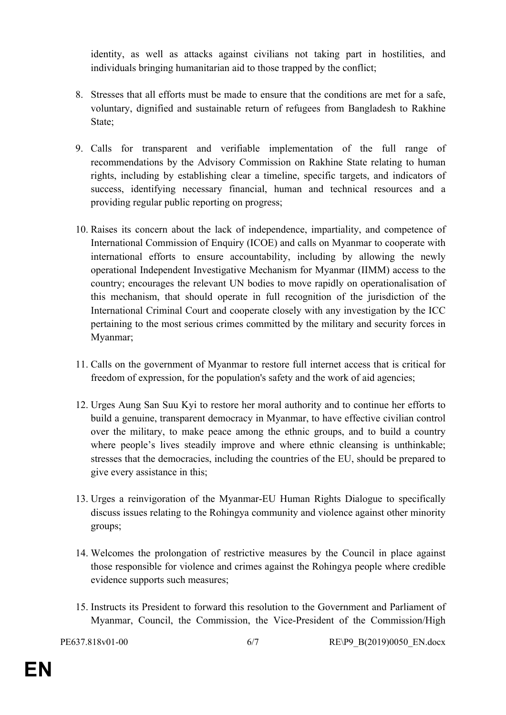identity, as well as attacks against civilians not taking part in hostilities, and individuals bringing humanitarian aid to those trapped by the conflict;

- 8. Stresses that all efforts must be made to ensure that the conditions are met for a safe, voluntary, dignified and sustainable return of refugees from Bangladesh to Rakhine State;
- 9. Calls for transparent and verifiable implementation of the full range of recommendations by the Advisory Commission on Rakhine State relating to human rights, including by establishing clear a timeline, specific targets, and indicators of success, identifying necessary financial, human and technical resources and a providing regular public reporting on progress;
- 10. Raises its concern about the lack of independence, impartiality, and competence of International Commission of Enquiry (ICOE) and calls on Myanmar to cooperate with international efforts to ensure accountability, including by allowing the newly operational Independent Investigative Mechanism for Myanmar (IIMM) access to the country; encourages the relevant UN bodies to move rapidly on operationalisation of this mechanism, that should operate in full recognition of the jurisdiction of the International Criminal Court and cooperate closely with any investigation by the ICC pertaining to the most serious crimes committed by the military and security forces in Myanmar;
- 11. Calls on the government of Myanmar to restore full internet access that is critical for freedom of expression, for the population's safety and the work of aid agencies;
- 12. Urges Aung San Suu Kyi to restore her moral authority and to continue her efforts to build a genuine, transparent democracy in Myanmar, to have effective civilian control over the military, to make peace among the ethnic groups, and to build a country where people's lives steadily improve and where ethnic cleansing is unthinkable; stresses that the democracies, including the countries of the EU, should be prepared to give every assistance in this;
- 13. Urges a reinvigoration of the Myanmar-EU Human Rights Dialogue to specifically discuss issues relating to the Rohingya community and violence against other minority groups;
- 14. Welcomes the prolongation of restrictive measures by the Council in place against those responsible for violence and crimes against the Rohingya people where credible evidence supports such measures;
- 15. Instructs its President to forward this resolution to the Government and Parliament of Myanmar, Council, the Commission, the Vice-President of the Commission/High